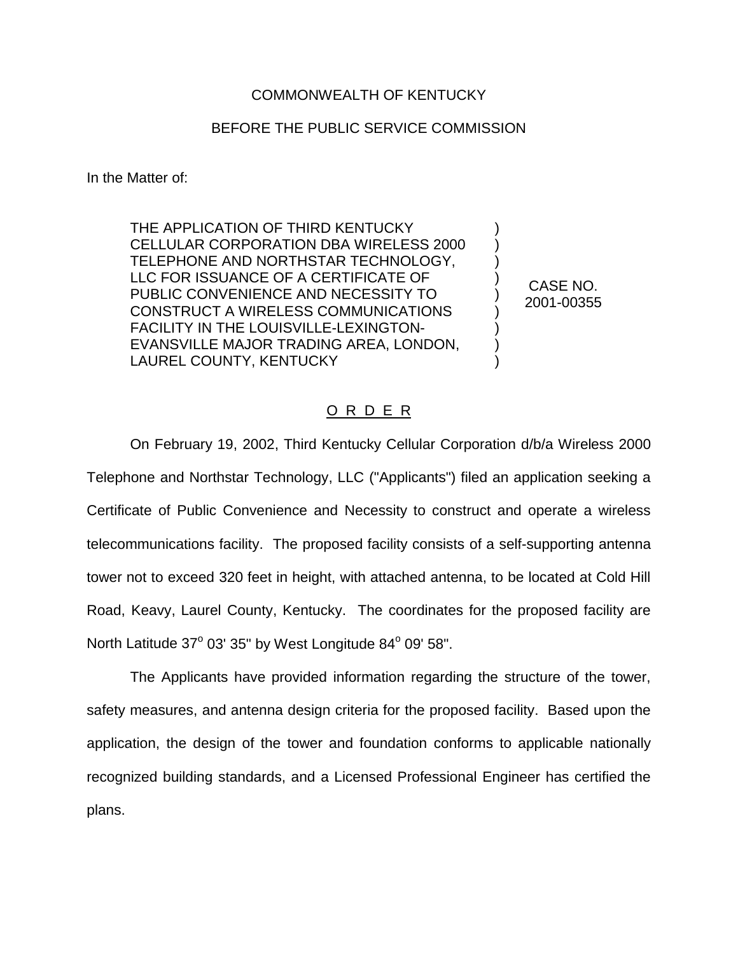## COMMONWEALTH OF KENTUCKY

## BEFORE THE PUBLIC SERVICE COMMISSION

In the Matter of:

THE APPLICATION OF THIRD KENTUCKY CELLULAR CORPORATION DBA WIRELESS 2000 TELEPHONE AND NORTHSTAR TECHNOLOGY, LLC FOR ISSUANCE OF A CERTIFICATE OF PUBLIC CONVENIENCE AND NECESSITY TO CONSTRUCT A WIRELESS COMMUNICATIONS FACILITY IN THE LOUISVILLE-LEXINGTON-EVANSVILLE MAJOR TRADING AREA, LONDON, LAUREL COUNTY, KENTUCKY

CASE NO. 2001-00355

) ) ) ) ) ) ) ) )

## O R D E R

On February 19, 2002, Third Kentucky Cellular Corporation d/b/a Wireless 2000 Telephone and Northstar Technology, LLC ("Applicants") filed an application seeking a Certificate of Public Convenience and Necessity to construct and operate a wireless telecommunications facility. The proposed facility consists of a self-supporting antenna tower not to exceed 320 feet in height, with attached antenna, to be located at Cold Hill Road, Keavy, Laurel County, Kentucky. The coordinates for the proposed facility are North Latitude 37° 03' 35" by West Longitude 84° 09' 58".

The Applicants have provided information regarding the structure of the tower, safety measures, and antenna design criteria for the proposed facility. Based upon the application, the design of the tower and foundation conforms to applicable nationally recognized building standards, and a Licensed Professional Engineer has certified the plans.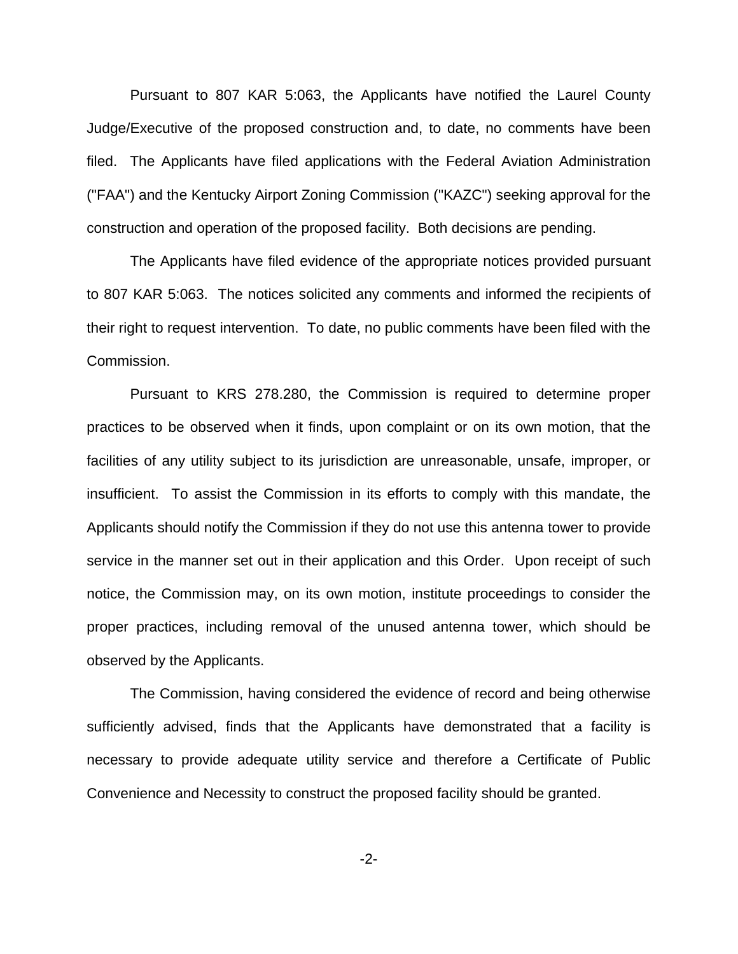Pursuant to 807 KAR 5:063, the Applicants have notified the Laurel County Judge/Executive of the proposed construction and, to date, no comments have been filed. The Applicants have filed applications with the Federal Aviation Administration ("FAA") and the Kentucky Airport Zoning Commission ("KAZC") seeking approval for the construction and operation of the proposed facility. Both decisions are pending.

The Applicants have filed evidence of the appropriate notices provided pursuant to 807 KAR 5:063. The notices solicited any comments and informed the recipients of their right to request intervention. To date, no public comments have been filed with the Commission.

Pursuant to KRS 278.280, the Commission is required to determine proper practices to be observed when it finds, upon complaint or on its own motion, that the facilities of any utility subject to its jurisdiction are unreasonable, unsafe, improper, or insufficient. To assist the Commission in its efforts to comply with this mandate, the Applicants should notify the Commission if they do not use this antenna tower to provide service in the manner set out in their application and this Order. Upon receipt of such notice, the Commission may, on its own motion, institute proceedings to consider the proper practices, including removal of the unused antenna tower, which should be observed by the Applicants.

The Commission, having considered the evidence of record and being otherwise sufficiently advised, finds that the Applicants have demonstrated that a facility is necessary to provide adequate utility service and therefore a Certificate of Public Convenience and Necessity to construct the proposed facility should be granted.

-2-